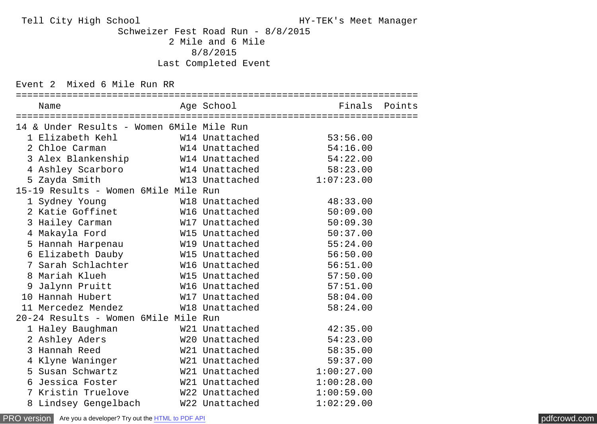Tell City High School HY-TEK's Meet Manager

 Schweizer Fest Road Run - 8/8/2015 2 Mile and 6 Mile 8/8/2015 Last Completed Event

Event 2 Mixed 6 Mile Run RR

| Name                                                                                        |                |                         |  |
|---------------------------------------------------------------------------------------------|----------------|-------------------------|--|
| 14 & Under Results - Women 6Mile Mile Run                                                   |                |                         |  |
|                                                                                             |                | 53:56.00                |  |
| 2 Chloe Carman                                                                              |                | W14 Unattached 54:16.00 |  |
| 3 Alex Blankenship W14 Unattached                                                           |                | 54:22.00                |  |
| 4 Ashley Scarboro                           W14 Unattached                         58:23.00 |                |                         |  |
| 5 Zayda Smith                                                                               | W13 Unattached | 1:07:23.00              |  |
| 15-19 Results - Women 6Mile Mile Run                                                        |                |                         |  |
| 1 Sydney Young                                                                              | W18 Unattached | 48:33.00                |  |
| 2 Katie Goffinet M16 Unattached                                                             |                | 50:09.00                |  |
| 3 Hailey Carman                         W17 Unattached                                      |                | 50:09.30                |  |
| 4 Makayla Ford                                                                              | W15 Unattached | 50:37.00                |  |
| 5 Hannah Harpenau M19 Unattached                                                            |                | 55:24.00                |  |
| 6 Elizabeth Dauby 6 M15 Unattached                                                          |                | 56:50.00                |  |
| 7 Sarah Schlachter W16 Unattached                                                           |                | 56:51.00                |  |
| 8 Mariah Klueh                                                                              | W15 Unattached | 57:50.00                |  |
| 9 Jalynn Pruitt M16 Unattached                                                              |                | 57:51.00                |  |
|                                                                                             |                | 58:04.00                |  |
| 11 Mercedez Mendez           W18 Unattached                                                 |                | 58:24.00                |  |
| 20-24 Results - Women 6Mile Mile Run                                                        |                |                         |  |
| 1 Haley Baughman                                                                            | W21 Unattached | 42:35.00                |  |
| 2 Ashley Aders W20 Unattached                                                               |                | 54:23.00                |  |
| 3 Hannah Reed                                                                               | W21 Unattached | 58:35.00                |  |
|                                                                                             |                | 59:37.00                |  |
|                                                                                             |                | 1:00:27.00              |  |
| 6 Jessica Foster                                                                            | W21 Unattached | 1:00:28.00              |  |
| 7 Kristin Truelove           W22 Unattached                                                 |                | 1:00:59.00              |  |
| 8 Lindsey Gengelbach W22 Unattached                                                         |                | 1:02:29.00              |  |

[PRO version](http://pdfcrowd.com/customize/) Are you a developer? Try out th[e HTML to PDF API](http://pdfcrowd.com/html-to-pdf-api/?ref=pdf) compared to the CHTML of PDF API [pdfcrowd.com](http://pdfcrowd.com)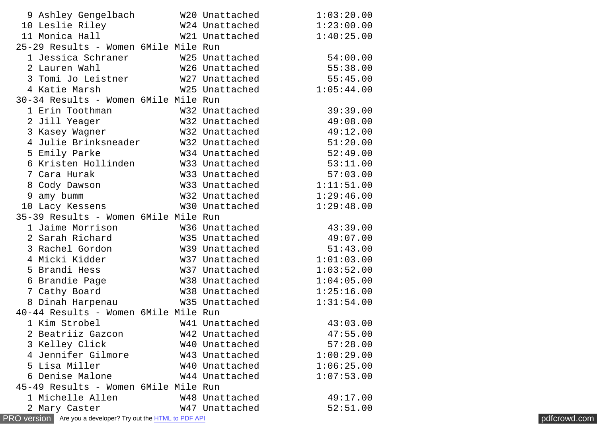|   | 9 Ashley Gengelbach                                            | W20 Unattached | 1:03:20.00 |              |
|---|----------------------------------------------------------------|----------------|------------|--------------|
|   | 10 Leslie Riley                                                | W24 Unattached | 1:23:00.00 |              |
|   | 11 Monica Hall                                                 | W21 Unattached | 1:40:25.00 |              |
|   | 25-29 Results - Women 6Mile Mile Run                           |                |            |              |
|   | 1 Jessica Schraner                                             | W25 Unattached | 54:00.00   |              |
|   | 2 Lauren Wahl                                                  | W26 Unattached | 55:38.00   |              |
|   | 3 Tomi Jo Leistner                                             | W27 Unattached | 55:45.00   |              |
|   | 4 Katie Marsh                                                  | W25 Unattached | 1:05:44.00 |              |
|   | 30-34 Results - Women 6Mile Mile Run                           |                |            |              |
|   | 1 Erin Toothman                                                | W32 Unattached | 39:39.00   |              |
|   | 2 Jill Yeager                                                  | W32 Unattached | 49:08.00   |              |
|   | 3 Kasey Wagner                                                 | W32 Unattached | 49:12.00   |              |
|   | 4 Julie Brinksneader                                           | W32 Unattached | 51:20.00   |              |
|   | 5 Emily Parke                                                  | W34 Unattached | 52:49.00   |              |
|   | 6 Kristen Hollinden                                            | W33 Unattached | 53:11.00   |              |
|   | 7 Cara Hurak                                                   | W33 Unattached | 57:03.00   |              |
|   | 8 Cody Dawson                                                  | W33 Unattached | 1:11:51.00 |              |
| 9 | amy bumm                                                       | W32 Unattached | 1:29:46.00 |              |
|   | 10 Lacy Kessens                                                | W30 Unattached | 1:29:48.00 |              |
|   | 35-39 Results - Women 6Mile Mile Run                           |                |            |              |
|   | 1 Jaime Morrison                                               | W36 Unattached | 43:39.00   |              |
|   | 2 Sarah Richard                                                | W35 Unattached | 49:07.00   |              |
|   | 3 Rachel Gordon                                                | W39 Unattached | 51:43.00   |              |
|   | 4 Micki Kidder                                                 | W37 Unattached | 1:01:03.00 |              |
|   | 5 Brandi Hess                                                  | W37 Unattached | 1:03:52.00 |              |
|   | 6 Brandie Page                                                 | W38 Unattached | 1:04:05.00 |              |
|   | 7 Cathy Board                                                  | W38 Unattached | 1:25:16.00 |              |
|   | 8 Dinah Harpenau                                               | W35 Unattached | 1:31:54.00 |              |
|   | 40-44 Results - Women 6Mile Mile Run                           |                |            |              |
|   | 1 Kim Strobel                                                  | W41 Unattached | 43:03.00   |              |
|   | 2 Beatriiz Gazcon                                              | W42 Unattached | 47:55.00   |              |
|   | 3 Kelley Click                                                 | W40 Unattached | 57:28.00   |              |
|   | 4 Jennifer Gilmore                                             | W43 Unattached | 1:00:29.00 |              |
|   | 5 Lisa Miller                                                  | W40 Unattached | 1:06:25.00 |              |
|   | 6 Denise Malone                                                | W44 Unattached | 1:07:53.00 |              |
|   | 45-49 Results - Women 6Mile Mile Run                           |                |            |              |
|   | 1 Michelle Allen                                               | W48 Unattached | 49:17.00   |              |
|   | 2 Mary Caster                                                  | W47 Unattached | 52:51.00   |              |
|   | PRO version   Are you a developer? Try out the HTML to PDF API |                |            | pdfcrowd.com |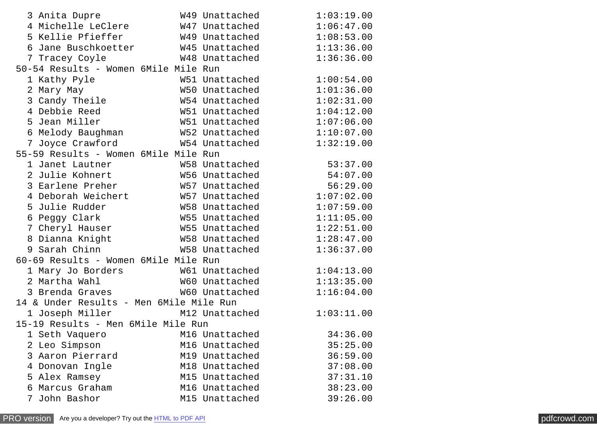| 3 Anita Dupre                                                                 |  | W49 Unattached | 1:03:19.00 |  |  |  |
|-------------------------------------------------------------------------------|--|----------------|------------|--|--|--|
| 4 Michelle LeClere W47 Unattached                                             |  |                | 1:06:47.00 |  |  |  |
| 5 Kellie Pfieffer                                                             |  | W49 Unattached | 1:08:53.00 |  |  |  |
| 6 Jane Buschkoetter           W45 Unattached                                  |  |                | 1:13:36.00 |  |  |  |
| 7 Tracey Coyle                                                                |  | W48 Unattached | 1:36:36.00 |  |  |  |
| 50-54 Results - Women 6Mile Mile Run                                          |  |                |            |  |  |  |
| 1 Kathy Pyle                                                                  |  | W51 Unattached | 1:00:54.00 |  |  |  |
| 2 Mary May                                                                    |  | W50 Unattached | 1:01:36.00 |  |  |  |
| 3 Candy Theile                                                                |  | W54 Unattached | 1:02:31.00 |  |  |  |
| 4 Debbie Reed                                                                 |  | W51 Unattached | 1:04:12.00 |  |  |  |
| 5 Jean Miller                                                                 |  | W51 Unattached | 1:07:06.00 |  |  |  |
| 6 Melody Baughman               W52 Unattached                                |  |                | 1:10:07.00 |  |  |  |
| 7 Joyce Crawford                                                              |  | W54 Unattached | 1:32:19.00 |  |  |  |
| 55-59 Results - Women 6Mile Mile Run                                          |  |                |            |  |  |  |
|                                                                               |  |                | 53:37.00   |  |  |  |
| 1 Janet Lautner<br>2 Julie Kohnert                             W56 Unattached |  |                | 54:07.00   |  |  |  |
| 3 Earlene Preher                                                              |  | W57 Unattached | 56:29.00   |  |  |  |
| 4 Deborah Weichert M57 Unattached                                             |  |                | 1:07:02.00 |  |  |  |
| 5 Julie Rudder                                                                |  | W58 Unattached | 1:07:59.00 |  |  |  |
| 6 Peggy Clark                                                                 |  | W55 Unattached | 1:11:05.00 |  |  |  |
| 7 Cheryl Hauser                                                               |  | W55 Unattached | 1:22:51.00 |  |  |  |
| 8 Dianna Knight                                                               |  | W58 Unattached | 1:28:47.00 |  |  |  |
| 9 Sarah Chinn                                                                 |  | W58 Unattached | 1:36:37.00 |  |  |  |
| 60-69 Results - Women 6Mile Mile Run                                          |  |                |            |  |  |  |
| 1 Mary Jo Borders             W61 Unattached                                  |  |                | 1:04:13.00 |  |  |  |
| 2 Martha Wahl                                                                 |  | W60 Unattached | 1:13:35.00 |  |  |  |
| 3 Brenda Graves                                                               |  | W60 Unattached | 1:16:04.00 |  |  |  |
| 14 & Under Results - Men 6Mile Mile Run                                       |  |                |            |  |  |  |
| 1 Joseph Miller M12 Unattached                                                |  |                | 1:03:11.00 |  |  |  |
| 15-19 Results - Men 6Mile Mile Run                                            |  |                |            |  |  |  |
| 1 Seth Vaquero                                                                |  | M16 Unattached | 34:36.00   |  |  |  |
| 2 Leo Simpson                                                                 |  | M16 Unattached | 35:25.00   |  |  |  |
| 3 Aaron Pierrard                                                              |  | M19 Unattached | 36:59.00   |  |  |  |
| Donovan Ingle<br>4                                                            |  | M18 Unattached | 37:08.00   |  |  |  |
| 5 Alex Ramsey                                                                 |  | M15 Unattached | 37:31.10   |  |  |  |
| Marcus Graham<br>6                                                            |  | M16 Unattached | 38:23.00   |  |  |  |
| John Bashor<br>7                                                              |  | M15 Unattached | 39:26.00   |  |  |  |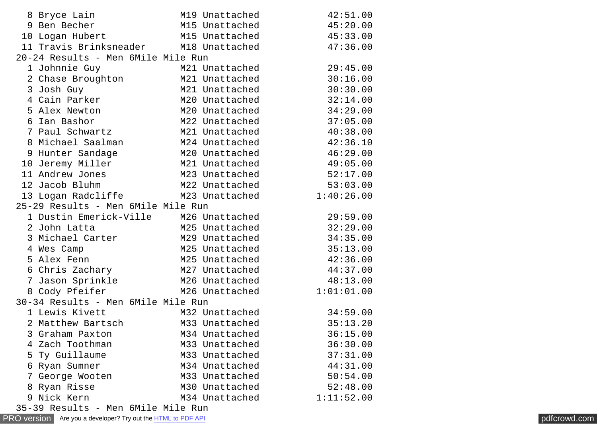| 8 Bryce Lain                          | M19 Unattached | 42:51.00   |
|---------------------------------------|----------------|------------|
| 9 Ben Becher                          | M15 Unattached | 45:20.00   |
| 10 Logan Hubert M15 Unattached        |                | 45:33.00   |
| 11 Travis Brinksneader M18 Unattached |                | 47:36.00   |
| 20-24 Results - Men 6Mile Mile Run    |                |            |
| 1 Johnnie Guy                         | M21 Unattached | 29:45.00   |
|                                       | M21 Unattached | 30:16.00   |
| 2 Chase Broughton<br>3 Josh Guy       | M21 Unattached | 30:30.00   |
| 4 Cain Parker                         | M20 Unattached | 32:14.00   |
| 5 Alex Newton                         | M20 Unattached | 34:29.00   |
| 6 Ian Bashor                          | M22 Unattached | 37:05.00   |
| 7 Paul Schwartz                       | M21 Unattached | 40:38.00   |
| 8 Michael Saalman                     | M24 Unattached | 42:36.10   |
| 9 Hunter Sandage                      | M20 Unattached | 46:29.00   |
| 10 Jeremy Miller                      | M21 Unattached | 49:05.00   |
| 11 Andrew Jones                       | M23 Unattached | 52:17.00   |
| 12 Jacob Bluhm                        | M22 Unattached | 53:03.00   |
| 13 Logan Radcliffe M23 Unattached     |                | 1:40:26.00 |
| 25-29 Results - Men 6Mile Mile Run    |                |            |
| 1 Dustin Emerick-Ville                | M26 Unattached | 29:59.00   |
| 2 John Latta                          | M25 Unattached | 32:29.00   |
| 3 Michael Carter                      | M29 Unattached | 34:35.00   |
| 4 Wes Camp                            | M25 Unattached | 35:13.00   |
| 5 Alex Fenn                           | M25 Unattached | 42:36.00   |
| 6 Chris Zachary                       | M27 Unattached | 44:37.00   |
| 7 Jason Sprinkle                      | M26 Unattached | 48:13.00   |
| 8 Cody Pfeifer                        | M26 Unattached | 1:01:01.00 |
| 30-34 Results - Men 6Mile Mile Run    |                |            |
| 1 Lewis Kivett                        | M32 Unattached | 34:59.00   |
| 2 Matthew Bartsch                     | M33 Unattached | 35:13.20   |
| 3 Graham Paxton                       | M34 Unattached | 36:15.00   |
| 4 Zach Toothman                       | M33 Unattached | 36:30.00   |
| Ty Guillaume<br>5                     | M33 Unattached | 37:31.00   |
| Ryan Sumner<br>6                      | M34 Unattached | 44:31.00   |
| George Wooten<br>7                    | M33 Unattached | 50:54.00   |
| Ryan Risse<br>8                       | M30 Unattached | 52:48.00   |
| 9 Nick Kern                           | M34 Unattached | 1:11:52.00 |
| 25 20 Bocults - Mon GMilo Milo Bun    |                |            |

[PRO version](http://pdfcrowd.com/customize/) Are you a developer? Try out the **HTML to PDF API [pdfcrowd.com](http://pdfcrowd.com)** 35-39 Results - Men 6Mile Mile Run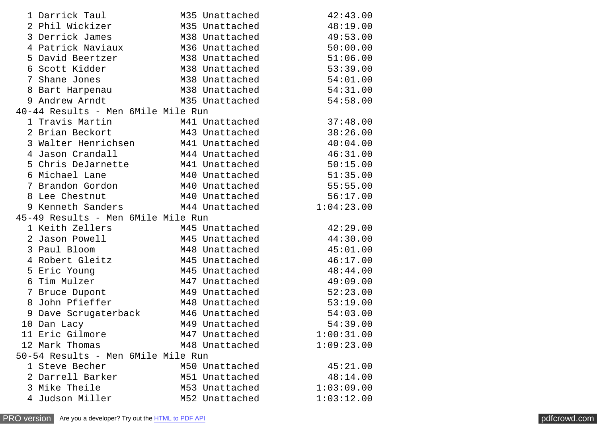|                                    | 1 Darrick Taul<br>2 Phil Wickizer<br>3 Derrick James<br>4 Patrick Naviaux |  | M35 Unattached<br>M35 Unattached<br>M38 Unattached<br>M36 Unattached | 42:43.00<br>48:19.00<br>49:53.00<br>50:00.00 |  |  |
|------------------------------------|---------------------------------------------------------------------------|--|----------------------------------------------------------------------|----------------------------------------------|--|--|
|                                    | 5 David Beertzer                                                          |  | M38 Unattached                                                       | 51:06.00                                     |  |  |
|                                    | 6 Scott Kidder                                                            |  | M38 Unattached                                                       | 53:39.00                                     |  |  |
|                                    | 7 Shane Jones                                                             |  | M38 Unattached                                                       | 54:01.00                                     |  |  |
|                                    | 8 Bart Harpenau                                                           |  | M38 Unattached                                                       | 54:31.00                                     |  |  |
|                                    | 9 Andrew Arndt                                                            |  | M35 Unattached                                                       | 54:58.00                                     |  |  |
|                                    | 40-44 Results - Men 6Mile Mile Run                                        |  |                                                                      |                                              |  |  |
|                                    | 1 Travis Martin<br>1 Travis Martin<br>2 Brian Beckort                     |  | M41 Unattached                                                       | 37:48.00                                     |  |  |
|                                    |                                                                           |  | M43 Unattached                                                       | 38:26.00                                     |  |  |
|                                    | 3 Walter Henrichsen                                                       |  | M41 Unattached                                                       | 40:04.00                                     |  |  |
|                                    | 4 Jason Crandall                                                          |  | M44 Unattached<br>M41 Unattached                                     | 46:31.00                                     |  |  |
|                                    | 5 Chris DeJarnette<br>6 Michael Lane                                      |  | M40 Unattached                                                       | 50:15.00<br>51:35.00                         |  |  |
|                                    | 7 Brandon Gordon                                                          |  | M40 Unattached                                                       | 55:55.00                                     |  |  |
|                                    | 8 Lee Chestnut                                                            |  | M40 Unattached                                                       | 56:17.00                                     |  |  |
|                                    | 9 Kenneth Sanders M44 Unattached                                          |  |                                                                      | 1:04:23.00                                   |  |  |
|                                    | 45-49 Results - Men 6Mile Mile Run                                        |  |                                                                      |                                              |  |  |
|                                    | 1 Keith Zellers                                                           |  | M45 Unattached                                                       | 42:29.00                                     |  |  |
|                                    | 2 Jason Powell                                                            |  | M45 Unattached                                                       | 44:30.00                                     |  |  |
|                                    | 3 Paul Bloom                                                              |  | M48 Unattached                                                       | 45:01.00                                     |  |  |
|                                    | 4 Robert Gleitz                                                           |  | M45 Unattached                                                       | 46:17.00                                     |  |  |
|                                    | 5 Eric Young                                                              |  | M45 Unattached                                                       | 48:44.00                                     |  |  |
|                                    | 6 Tim Mulzer                                                              |  | M47 Unattached                                                       | 49:09.00                                     |  |  |
|                                    | 7 Bruce Dupont                                                            |  | M49 Unattached                                                       | 52:23.00                                     |  |  |
|                                    | 8 John Pfieffer                                                           |  | M48 Unattached                                                       | 53:19.00                                     |  |  |
|                                    | 9 Dave Scrugaterback                                                      |  | M46 Unattached                                                       | 54:03.00                                     |  |  |
|                                    | 10 Dan Lacy                                                               |  | M49 Unattached                                                       | 54:39.00                                     |  |  |
|                                    | 11 Eric Gilmore                                                           |  | M47 Unattached                                                       | 1:00:31.00                                   |  |  |
|                                    | 12 Mark Thomas                                                            |  | M48 Unattached                                                       | 1:09:23.00                                   |  |  |
| 50-54 Results - Men 6Mile Mile Run |                                                                           |  |                                                                      |                                              |  |  |
|                                    | 1 Steve Becher                                                            |  | M50 Unattached                                                       | 45:21.00                                     |  |  |
|                                    | 2 Darrell Barker                                                          |  | M51 Unattached                                                       | 48:14.00                                     |  |  |
|                                    | 3 Mike Theile                                                             |  | M53 Unattached                                                       | 1:03:09.00                                   |  |  |
|                                    | 4 Judson Miller                                                           |  | M52 Unattached                                                       | 1:03:12.00                                   |  |  |